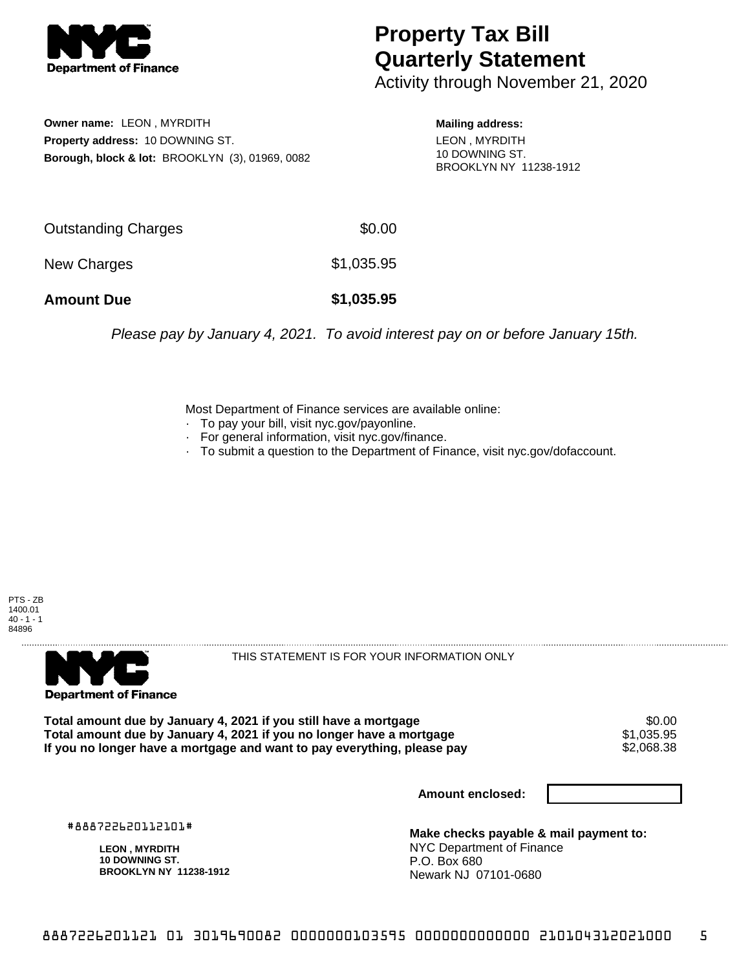

## **Property Tax Bill Quarterly Statement**

Activity through November 21, 2020

**Owner name:** LEON , MYRDITH **Property address:** 10 DOWNING ST. **Borough, block & lot:** BROOKLYN (3), 01969, 0082 **Mailing address:** LEON , MYRDITH 10 DOWNING ST. BROOKLYN NY 11238-1912

| <b>Amount Due</b>   | \$1,035.95 |
|---------------------|------------|
| New Charges         | \$1,035.95 |
| Outstanding Charges | \$0.00     |

Please pay by January 4, 2021. To avoid interest pay on or before January 15th.

Most Department of Finance services are available online:

- · To pay your bill, visit nyc.gov/payonline.
- For general information, visit nyc.gov/finance.
- · To submit a question to the Department of Finance, visit nyc.gov/dofaccount.

PTS - ZB 1400.01  $40 - 1 - 1$ 84896



THIS STATEMENT IS FOR YOUR INFORMATION ONLY

Total amount due by January 4, 2021 if you still have a mortgage \$0.00<br>Total amount due by January 4, 2021 if you no longer have a mortgage \$1.035.95 **Total amount due by January 4, 2021 if you no longer have a mortgage**  $$1,035.95$ **<br>If you no longer have a mortgage and want to pay everything, please pay**  $$2,068.38$ If you no longer have a mortgage and want to pay everything, please pay

**Amount enclosed:**

#888722620112101#

**LEON , MYRDITH 10 DOWNING ST. BROOKLYN NY 11238-1912**

**Make checks payable & mail payment to:** NYC Department of Finance P.O. Box 680 Newark NJ 07101-0680